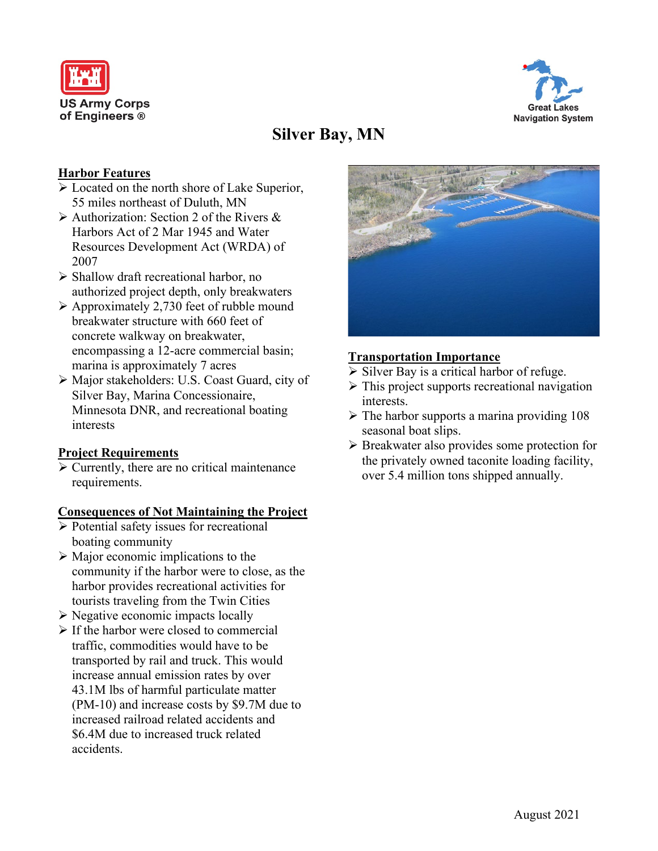



# **Silver Bay, MN**

## **Harbor Features**

- Located on the north shore of Lake Superior, 55 miles northeast of Duluth, MN
- $\triangleright$  Authorization: Section 2 of the Rivers & Harbors Act of 2 Mar 1945 and Water Resources Development Act (WRDA) of 2007
- $\triangleright$  Shallow draft recreational harbor, no authorized project depth, only breakwaters
- $\triangleright$  Approximately 2,730 feet of rubble mound breakwater structure with 660 feet of concrete walkway on breakwater, encompassing a 12-acre commercial basin; marina is approximately 7 acres
- Major stakeholders: U.S. Coast Guard, city of Silver Bay, Marina Concessionaire, Minnesota DNR, and recreational boating interests

#### **Project Requirements**

 $\triangleright$  Currently, there are no critical maintenance requirements.

#### **Consequences of Not Maintaining the Project**

- $\triangleright$  Potential safety issues for recreational boating community
- $\triangleright$  Major economic implications to the community if the harbor were to close, as the harbor provides recreational activities for tourists traveling from the Twin Cities
- $\triangleright$  Negative economic impacts locally
- $\triangleright$  If the harbor were closed to commercial traffic, commodities would have to be transported by rail and truck. This would increase annual emission rates by over 43.1M lbs of harmful particulate matter (PM-10) and increase costs by \$9.7M due to increased railroad related accidents and \$6.4M due to increased truck related accidents.



## **Transportation Importance**

- $\triangleright$  Silver Bay is a critical harbor of refuge.
- $\triangleright$  This project supports recreational navigation interests.
- $\triangleright$  The harbor supports a marina providing 108 seasonal boat slips.
- Breakwater also provides some protection for the privately owned taconite loading facility, over 5.4 million tons shipped annually.